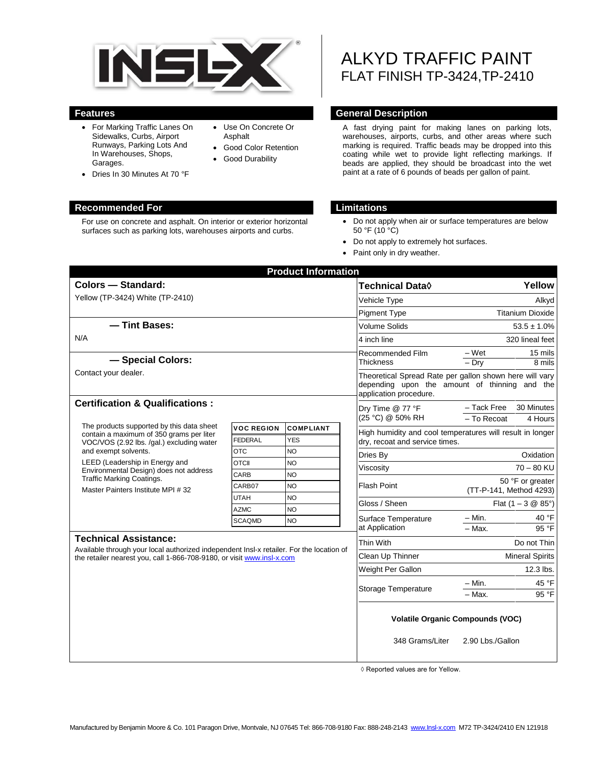

Use On Concrete Or

 Good Color Retention Good Durability

Asphalt

- For Marking Traffic Lanes On Sidewalks, Curbs, Airport Runways, Parking Lots And In Warehouses, Shops, Garages.
- Dries In 30 Minutes At 70 °F

#### **Recommended For Limitations**

For use on concrete and asphalt. On interior or exterior horizontal surfaces such as parking lots, warehouses airports and curbs.

# ALKYD TRAFFIC PAINT FLAT FINISH TP-3424,TP-2410

#### **Features General Description**

A fast drying paint for making lanes on parking lots, warehouses, airports, curbs, and other areas where such marking is required. Traffic beads may be dropped into this coating while wet to provide light reflecting markings. If beads are applied, they should be broadcast into the wet paint at a rate of 6 pounds of beads per gallon of paint.

- Do not apply when air or surface temperatures are below  $50 °F (10 °C)$
- Do not apply to extremely hot surfaces.
- Paint only in dry weather.

| <b>Product Information</b>                                                                                                                                                                         |                            |                        |               |                                                                                                                                    |                                                           |  |
|----------------------------------------------------------------------------------------------------------------------------------------------------------------------------------------------------|----------------------------|------------------------|---------------|------------------------------------------------------------------------------------------------------------------------------------|-----------------------------------------------------------|--|
| Colors - Standard:                                                                                                                                                                                 |                            |                        |               | <b>Technical Data</b> ◊                                                                                                            | Yellow                                                    |  |
| Yellow (TP-3424) White (TP-2410)                                                                                                                                                                   |                            |                        |               | Vehicle Type                                                                                                                       | Alkyd                                                     |  |
|                                                                                                                                                                                                    |                            |                        |               | Pigment Type                                                                                                                       | <b>Titanium Dioxide</b>                                   |  |
| - Tint Bases:                                                                                                                                                                                      |                            |                        |               | <b>Volume Solids</b>                                                                                                               | $53.5 \pm 1.0\%$                                          |  |
| N/A                                                                                                                                                                                                |                            |                        |               | 4 inch line                                                                                                                        | 320 lineal feet                                           |  |
|                                                                                                                                                                                                    |                            |                        |               | Recommended Film                                                                                                                   | – Wet<br>15 mils                                          |  |
| - Special Colors:                                                                                                                                                                                  |                            |                        |               | <b>Thickness</b>                                                                                                                   | $-$ Dry<br>8 mils                                         |  |
| Contact your dealer.                                                                                                                                                                               |                            |                        |               | Theoretical Spread Rate per gallon shown here will vary<br>depending upon the amount of thinning and the<br>application procedure. |                                                           |  |
| <b>Certification &amp; Qualifications:</b>                                                                                                                                                         |                            |                        |               | Dry Time @ 77 °F<br>(25 °C) @ 50% RH                                                                                               | - Tack Free<br>30 Minutes<br>- To Recoat<br>4 Hours       |  |
| The products supported by this data sheet<br>contain a maximum of 350 grams per liter<br>VOC/VOS (2.92 lbs. /gal.) excluding water                                                                 | <b>VOC REGION</b>          | <b>COMPLIANT</b>       |               |                                                                                                                                    | High humidity and cool temperatures will result in longer |  |
|                                                                                                                                                                                                    | <b>FEDERAL</b>             | <b>YES</b>             |               | dry, recoat and service times.                                                                                                     |                                                           |  |
| and exempt solvents.                                                                                                                                                                               | <b>OTC</b>                 | NO                     |               | Dries By                                                                                                                           | Oxidation                                                 |  |
| LEED (Leadership in Energy and<br>Environmental Design) does not address<br><b>Traffic Marking Coatings.</b><br>Master Painters Institute MPI #32                                                  | <b>OTCII</b>               | <b>NO</b>              |               | Viscosity                                                                                                                          | $70 - 80$ KU                                              |  |
|                                                                                                                                                                                                    | CARB                       | <b>NO</b>              |               |                                                                                                                                    | 50 °F or greater                                          |  |
|                                                                                                                                                                                                    | CARB07                     | <b>NO</b>              |               | <b>Flash Point</b>                                                                                                                 | (TT-P-141, Method 4293)                                   |  |
|                                                                                                                                                                                                    | <b>UTAH</b><br><b>AZMC</b> | <b>NO</b><br><b>NO</b> | Gloss / Sheen |                                                                                                                                    | Flat $(1 - 3 \& 85^{\circ})$                              |  |
|                                                                                                                                                                                                    | <b>SCAQMD</b>              | <b>NO</b>              |               | Surface Temperature                                                                                                                | $-$ Min.<br>40 °F                                         |  |
|                                                                                                                                                                                                    |                            |                        |               | at Application                                                                                                                     | 95 °F<br>$-$ Max.                                         |  |
| <b>Technical Assistance:</b><br>Available through your local authorized independent Insl-x retailer. For the location of<br>the retailer nearest you, call 1-866-708-9180, or visit www.insl-x.com |                            |                        |               | Thin With                                                                                                                          | Do not Thin                                               |  |
|                                                                                                                                                                                                    |                            |                        |               | Clean Up Thinner                                                                                                                   | <b>Mineral Spirits</b>                                    |  |
|                                                                                                                                                                                                    |                            |                        |               | Weight Per Gallon                                                                                                                  | $12.3$ lbs.                                               |  |
|                                                                                                                                                                                                    |                            |                        |               |                                                                                                                                    | 45 °F<br>$-$ Min.                                         |  |
|                                                                                                                                                                                                    |                            |                        |               | Storage Temperature<br>95 °F<br>$-$ Max.                                                                                           |                                                           |  |
|                                                                                                                                                                                                    |                            |                        |               | <b>Volatile Organic Compounds (VOC)</b><br>348 Grams/Liter<br>2.90 Lbs./Gallon                                                     |                                                           |  |
|                                                                                                                                                                                                    |                            |                        |               |                                                                                                                                    |                                                           |  |

◊ Reported values are for Yellow.